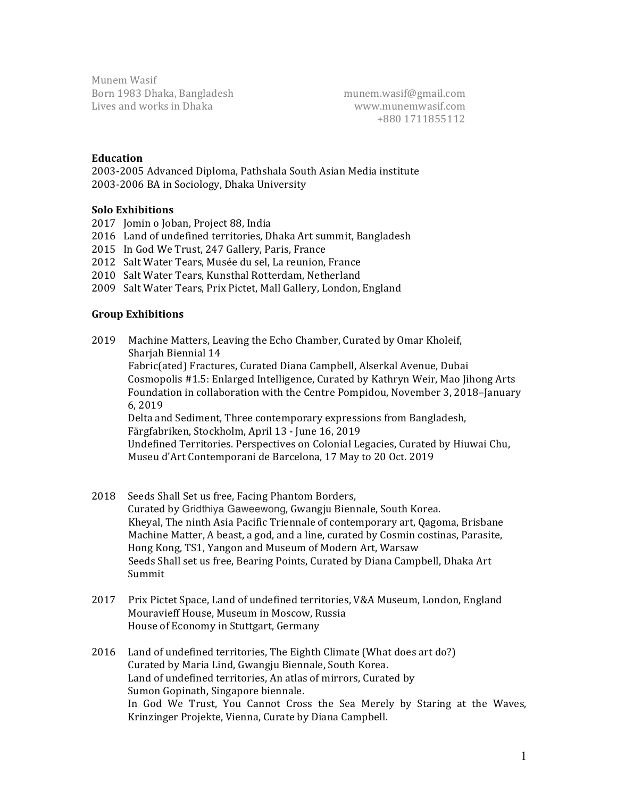Munem Wasif Born 1983 Dhaka, Bangladesh munem.wasif@gmail.com Lives and works in Dhaka www.munemwasif.com

 +880 1711855112

#### **Education**

2003-2005 Advanced Diploma, Pathshala South Asian Media institute 2003-2006 BA in Sociology, Dhaka University

## **Solo Exhibitions**

- 2017 Iomin o Joban, Project 88, India
- 2016 Land of undefined territories, Dhaka Art summit, Bangladesh
- 2015 In God We Trust, 247 Gallery, Paris, France
- 2012 Salt Water Tears, Musée du sel, La reunion, France
- 2010 Salt Water Tears, Kunsthal Rotterdam, Netherland
- 2009 Salt Water Tears, Prix Pictet, Mall Gallery, London, England

#### **Group Exhibitions**

2019 Machine Matters, Leaving the Echo Chamber, Curated by Omar Kholeif, Sharjah Biennial 14 Fabric(ated) Fractures, Curated Diana Campbell, Alserkal Avenue, Dubai Cosmopolis #1.5: Enlarged Intelligence, Curated by Kathryn Weir, Mao Jihong Arts Foundation in collaboration with the Centre Pompidou, November 3, 2018–January 6, 2019 Delta and Sediment, Three contemporary expressions from Bangladesh, Färgfabriken, Stockholm, April 13 - June 16, 2019 Undefined Territories. Perspectives on Colonial Legacies, Curated by Hiuwai Chu, Museu d'Art Contemporani de Barcelona, 17 May to 20 Oct. 2019

- 2018 Seeds Shall Set us free, Facing Phantom Borders, Curated by Gridthiya Gaweewong, Gwangju Biennale, South Korea. Kheyal, The ninth Asia Pacific Triennale of contemporary art, Oagoma, Brisbane Machine Matter, A beast, a god, and a line, curated by Cosmin costinas, Parasite, Hong Kong, TS1, Yangon and Museum of Modern Art, Warsaw Seeds Shall set us free, Bearing Points, Curated by Diana Campbell, Dhaka Art Summit
- 2017 Prix Pictet Space, Land of undefined territories, V&A Museum, London, England Mouravieff House, Museum in Moscow, Russia House of Economy in Stuttgart, Germany
- 2016 Land of undefined territories, The Eighth Climate (What does art do?) Curated by Maria Lind, Gwangju Biennale, South Korea. Land of undefined territories, An atlas of mirrors, Curated by Sumon Gopinath, Singapore biennale. In God We Trust, You Cannot Cross the Sea Merely by Staring at the Waves, Krinzinger Projekte, Vienna, Curate by Diana Campbell.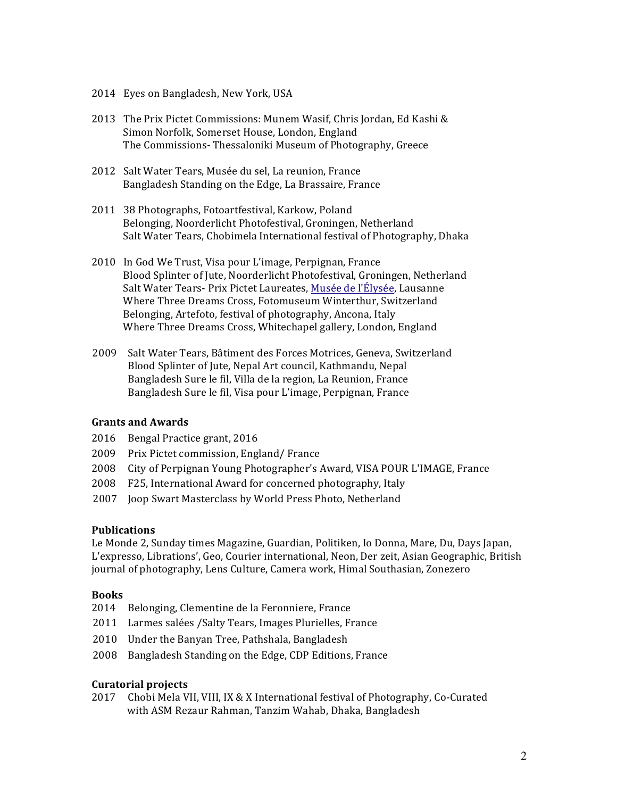- 2014 Eyes on Bangladesh, New York, USA
- 2013 The Prix Pictet Commissions: Munem Wasif, Chris Jordan, Ed Kashi & Simon Norfolk, Somerset House, London, England The Commissions-Thessaloniki Museum of Photography, Greece
- 2012 Salt Water Tears, Musée du sel, La reunion, France Bangladesh Standing on the Edge, La Brassaire, France
- 2011 38 Photographs, Fotoartfestival, Karkow, Poland Belonging, Noorderlicht Photofestival, Groningen, Netherland Salt Water Tears, Chobimela International festival of Photography, Dhaka
- 2010 In God We Trust, Visa pour L'image, Perpignan, France Blood Splinter of Jute, Noorderlicht Photofestival, Groningen, Netherland Salt Water Tears- Prix Pictet Laureates, Musée de l'Élysée, Lausanne Where Three Dreams Cross, Fotomuseum Winterthur, Switzerland Belonging, Artefoto, festival of photography, Ancona, Italy Where Three Dreams Cross, Whitechapel gallery, London, England
- 2009 Salt Water Tears, Bâtiment des Forces Motrices, Geneva, Switzerland Blood Splinter of Jute, Nepal Art council, Kathmandu, Nepal Bangladesh Sure le fil, Villa de la region, La Reunion, France Bangladesh Sure le fil, Visa pour L'image, Perpignan, France

### **Grants and Awards**

- 2016 Bengal Practice grant, 2016
- 2009 Prix Pictet commission, England/ France
- 2008 City of Perpignan Young Photographer's Award, VISA POUR L'IMAGE, France
- 2008 F25, International Award for concerned photography, Italy
- 2007 Joop Swart Masterclass by World Press Photo, Netherland

# **Publications**

Le Monde 2, Sunday times Magazine, Guardian, Politiken, Io Donna, Mare, Du, Days Japan, L'expresso, Librations', Geo, Courier international, Neon, Der zeit, Asian Geographic, British journal of photography, Lens Culture, Camera work, Himal Southasian, Zonezero

### **Books**

- 2014 Belonging, Clementine de la Feronniere, France
- 2011 Larmes salées /Salty Tears, Images Plurielles, France
- 2010 Under the Banyan Tree, Pathshala, Bangladesh
- 2008 Bangladesh Standing on the Edge, CDP Editions, France

### **Curatorial projects**

2017 Chobi Mela VII, VIII, IX & X International festival of Photography, Co-Curated with ASM Rezaur Rahman, Tanzim Wahab, Dhaka, Bangladesh